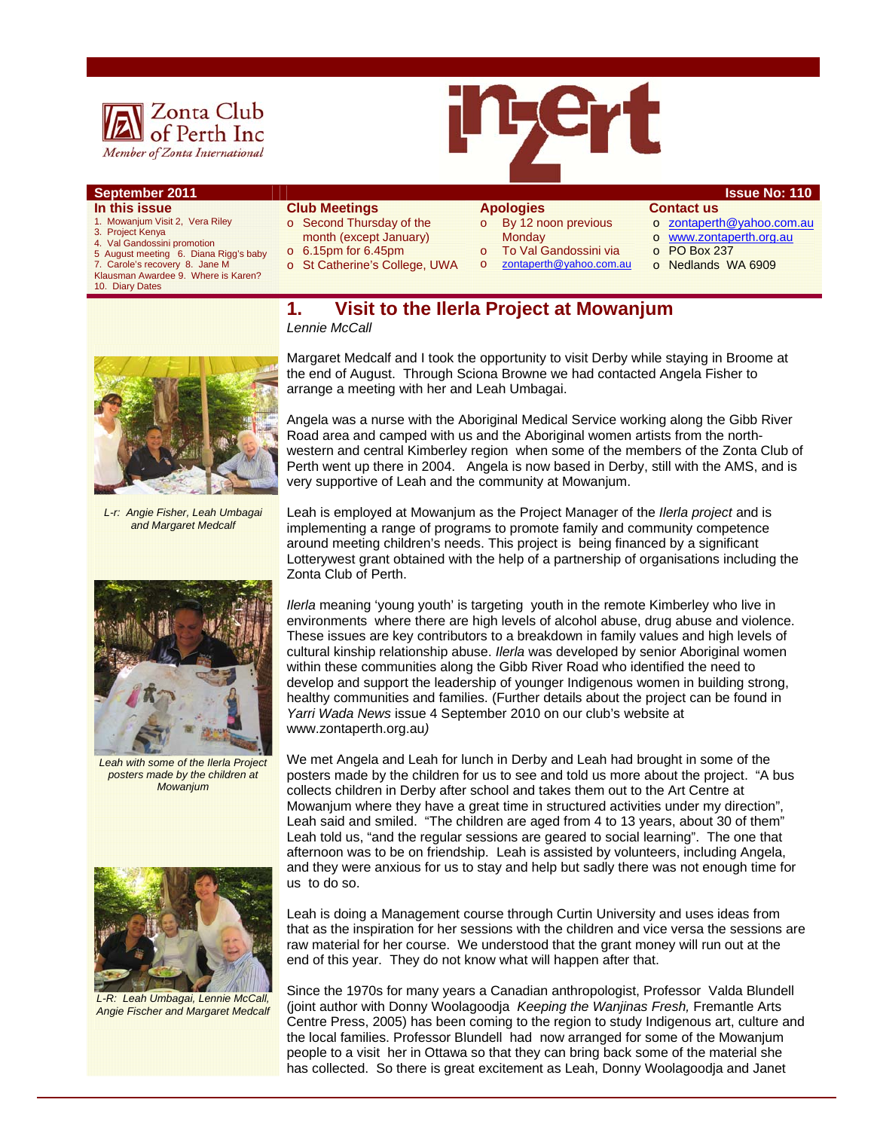



- **In this issue**
- 1. Mowanjum Visit 2, Vera Riley
- 3. Project Kenya 4. Val Gandossini promotion
- 
- 5 August meeting 6. Diana Rigg's baby 7. Carole's recovery 8. Jane M
- Klausman Awardee 9. Where is Karen? 10. Diary Dates
- **Club Meetings** o Second Thursday of the
- month (except January)
- o 6.15pm for 6.45pm
- o St Catherine's College, UWA
- o By 12 noon previous
- **Monday**
- 
- o To Val Gandossini via<br>o zontaperth@vahoo.com
	- zontaperth@yahoo.com.au
- **September 2011 ISSUE NO: 110 Contact us**
	- o zontaperth@yahoo.com.au
	- o www.zontaperth.org.au
	- o PO Box 237
	- o Nedlands WA 6909
	- **1. Visit to the Ilerla Project at Mowanjum**  *Lennie McCall*



*L-r: Angie Fisher, Leah Umbagai and Margaret Medcalf* 



*Leah with some of the Ilerla Project posters made by the children at Mowanjum* 



*L-R: Leah Umbagai, Lennie McCall, Angie Fischer and Margaret Medcalf* 

Margaret Medcalf and I took the opportunity to visit Derby while staying in Broome at the end of August. Through Sciona Browne we had contacted Angela Fisher to arrange a meeting with her and Leah Umbagai.

Angela was a nurse with the Aboriginal Medical Service working along the Gibb River Road area and camped with us and the Aboriginal women artists from the northwestern and central Kimberley region when some of the members of the Zonta Club of Perth went up there in 2004. Angela is now based in Derby, still with the AMS, and is very supportive of Leah and the community at Mowanjum.

Leah is employed at Mowanjum as the Project Manager of the *Ilerla project* and is implementing a range of programs to promote family and community competence around meeting children's needs. This project is being financed by a significant Lotterywest grant obtained with the help of a partnership of organisations including the Zonta Club of Perth.

*Ilerla* meaning 'young youth' is targeting youth in the remote Kimberley who live in environments where there are high levels of alcohol abuse, drug abuse and violence. These issues are key contributors to a breakdown in family values and high levels of cultural kinship relationship abuse. *Ilerla* was developed by senior Aboriginal women within these communities along the Gibb River Road who identified the need to develop and support the leadership of younger Indigenous women in building strong, healthy communities and families. (Further details about the project can be found in *Yarri Wada News* issue 4 September 2010 on our club's website at www.zontaperth.org.au*)* 

We met Angela and Leah for lunch in Derby and Leah had brought in some of the posters made by the children for us to see and told us more about the project. "A bus collects children in Derby after school and takes them out to the Art Centre at Mowanjum where they have a great time in structured activities under my direction", Leah said and smiled. "The children are aged from 4 to 13 years, about 30 of them" Leah told us, "and the regular sessions are geared to social learning". The one that afternoon was to be on friendship. Leah is assisted by volunteers, including Angela, and they were anxious for us to stay and help but sadly there was not enough time for us to do so.

Leah is doing a Management course through Curtin University and uses ideas from that as the inspiration for her sessions with the children and vice versa the sessions are raw material for her course. We understood that the grant money will run out at the end of this year. They do not know what will happen after that.

Since the 1970s for many years a Canadian anthropologist, Professor Valda Blundell (joint author with Donny Woolagoodja *Keeping the Wanjinas Fresh,* Fremantle Arts Centre Press, 2005) has been coming to the region to study Indigenous art, culture and the local families. Professor Blundell had now arranged for some of the Mowanjum people to a visit her in Ottawa so that they can bring back some of the material she has collected. So there is great excitement as Leah, Donny Woolagoodja and Janet

## **Apologies**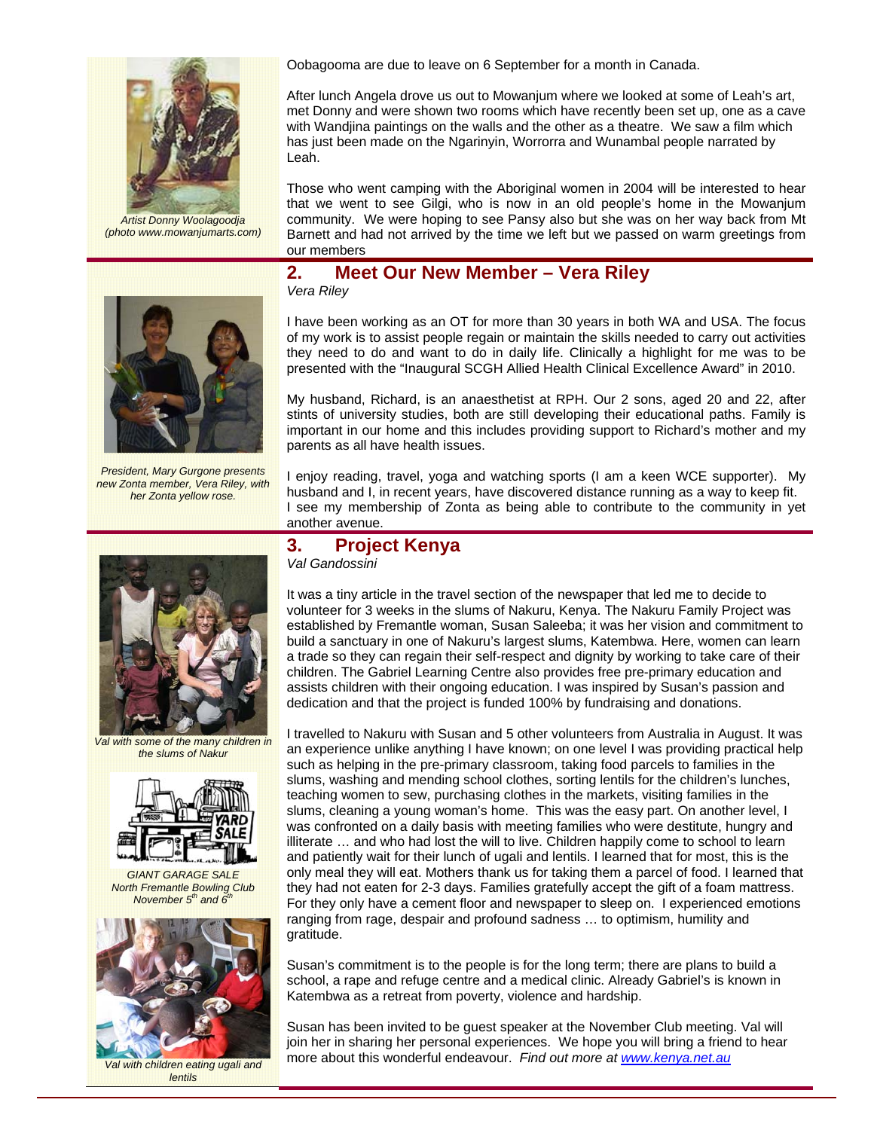

 *Artist Donny Woolagoodja (photo www.mowanjumarts.com)* 

Oobagooma are due to leave on 6 September for a month in Canada.

After lunch Angela drove us out to Mowanjum where we looked at some of Leah's art, met Donny and were shown two rooms which have recently been set up, one as a cave with Wandjina paintings on the walls and the other as a theatre. We saw a film which has just been made on the Ngarinyin, Worrorra and Wunambal people narrated by Leah.

Those who went camping with the Aboriginal women in 2004 will be interested to hear that we went to see Gilgi, who is now in an old people's home in the Mowanjum community. We were hoping to see Pansy also but she was on her way back from Mt Barnett and had not arrived by the time we left but we passed on warm greetings from our members

#### **2. Meet Our New Member – Vera Riley**

*Vera Riley* 

I have been working as an OT for more than 30 years in both WA and USA. The focus of my work is to assist people regain or maintain the skills needed to carry out activities they need to do and want to do in daily life. Clinically a highlight for me was to be presented with the "Inaugural SCGH Allied Health Clinical Excellence Award" in 2010.

My husband, Richard, is an anaesthetist at RPH. Our 2 sons, aged 20 and 22, after stints of university studies, both are still developing their educational paths. Family is important in our home and this includes providing support to Richard's mother and my parents as all have health issues.

I enjoy reading, travel, yoga and watching sports (I am a keen WCE supporter). My husband and I, in recent years, have discovered distance running as a way to keep fit. I see my membership of Zonta as being able to contribute to the community in yet another avenue.

#### **3. Project Kenya**  *Val Gandossini*

It was a tiny article in the travel section of the newspaper that led me to decide to volunteer for 3 weeks in the slums of Nakuru, Kenya. The Nakuru Family Project was established by Fremantle woman, Susan Saleeba; it was her vision and commitment to build a sanctuary in one of Nakuru's largest slums, Katembwa. Here, women can learn a trade so they can regain their self-respect and dignity by working to take care of their children. The Gabriel Learning Centre also provides free pre-primary education and assists children with their ongoing education. I was inspired by Susan's passion and dedication and that the project is funded 100% by fundraising and donations.

I travelled to Nakuru with Susan and 5 other volunteers from Australia in August. It was an experience unlike anything I have known; on one level I was providing practical help such as helping in the pre-primary classroom, taking food parcels to families in the slums, washing and mending school clothes, sorting lentils for the children's lunches, teaching women to sew, purchasing clothes in the markets, visiting families in the slums, cleaning a young woman's home. This was the easy part. On another level, I was confronted on a daily basis with meeting families who were destitute, hungry and illiterate … and who had lost the will to live. Children happily come to school to learn and patiently wait for their lunch of ugali and lentils. I learned that for most, this is the only meal they will eat. Mothers thank us for taking them a parcel of food. I learned that they had not eaten for 2-3 days. Families gratefully accept the gift of a foam mattress. For they only have a cement floor and newspaper to sleep on. I experienced emotions ranging from rage, despair and profound sadness … to optimism, humility and gratitude.

Susan's commitment is to the people is for the long term; there are plans to build a school, a rape and refuge centre and a medical clinic. Already Gabriel's is known in Katembwa as a retreat from poverty, violence and hardship.

Susan has been invited to be guest speaker at the November Club meeting. Val will join her in sharing her personal experiences. We hope you will bring a friend to hear more about this wonderful endeavour. *Find out more at www.kenya.net.au*



*President, Mary Gurgone presents new Zonta member, Vera Riley, with her Zonta yellow rose.* 



*Val with some of the many children in the slums of Nakur* 



*GIANT GARAGE SALE North Fremantle Bowling Club November*  $5<sup>th</sup>$  and  $6<sup>th</sup>$ 



*Val with children eating ugali and lentils*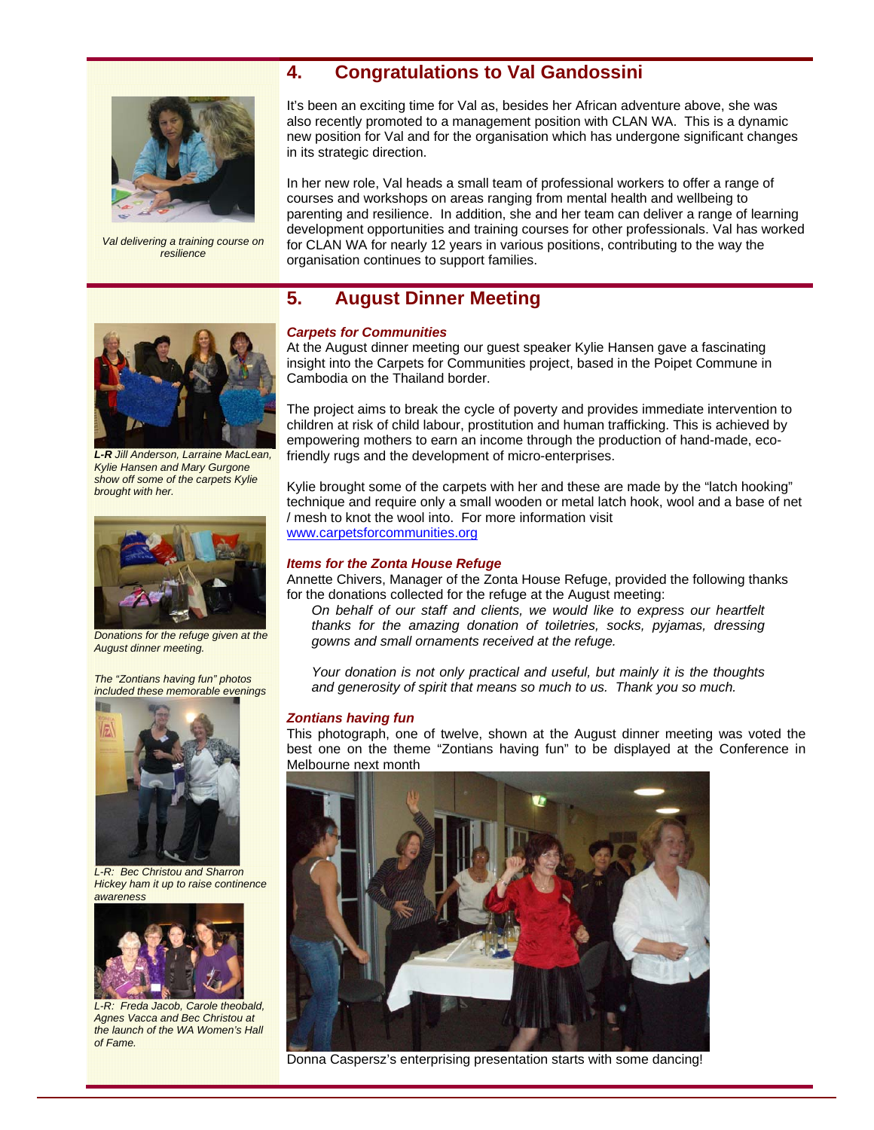## **4. Congratulations to Val Gandossini**



*Val delivering a training course on resilience* 

It's been an exciting time for Val as, besides her African adventure above, she was also recently promoted to a management position with CLAN WA. This is a dynamic new position for Val and for the organisation which has undergone significant changes in its strategic direction.

In her new role, Val heads a small team of professional workers to offer a range of courses and workshops on areas ranging from mental health and wellbeing to parenting and resilience. In addition, she and her team can deliver a range of learning development opportunities and training courses for other professionals. Val has worked for CLAN WA for nearly 12 years in various positions, contributing to the way the organisation continues to support families.

## **5. August Dinner Meeting**



*L-R Jill Anderson, Larraine MacLean, Kylie Hansen and Mary Gurgone show off some of the carpets Kylie brought with her.*



*Donations for the refuge given at the August dinner meeting.*

*The "Zontians having fun" photos included these memorable evenings* 



*L-R: Bec Christou and Sharron Hickey ham it up to raise continence awareness* 



*L-R: Freda Jacob, Carole theobald, Agnes Vacca and Bec Christou at the launch of the WA Women's Hall of Fame.* 

#### *Carpets for Communities*

At the August dinner meeting our guest speaker Kylie Hansen gave a fascinating insight into the Carpets for Communities project, based in the Poipet Commune in Cambodia on the Thailand border.

The project aims to break the cycle of poverty and provides immediate intervention to children at risk of child labour, prostitution and human trafficking. This is achieved by empowering mothers to earn an income through the production of hand-made, ecofriendly rugs and the development of micro-enterprises.

Kylie brought some of the carpets with her and these are made by the "latch hooking" technique and require only a small wooden or metal latch hook, wool and a base of net / mesh to knot the wool into. For more information visit www.carpetsforcommunities.org

#### *Items for the Zonta House Refuge*

Annette Chivers, Manager of the Zonta House Refuge, provided the following thanks for the donations collected for the refuge at the August meeting:

*On behalf of our staff and clients, we would like to express our heartfelt thanks for the amazing donation of toiletries, socks, pyjamas, dressing gowns and small ornaments received at the refuge.* 

*Your donation is not only practical and useful, but mainly it is the thoughts and generosity of spirit that means so much to us. Thank you so much.* 

#### *Zontians having fun*

This photograph, one of twelve, shown at the August dinner meeting was voted the best one on the theme "Zontians having fun" to be displayed at the Conference in Melbourne next month



Donna Caspersz's enterprising presentation starts with some dancing!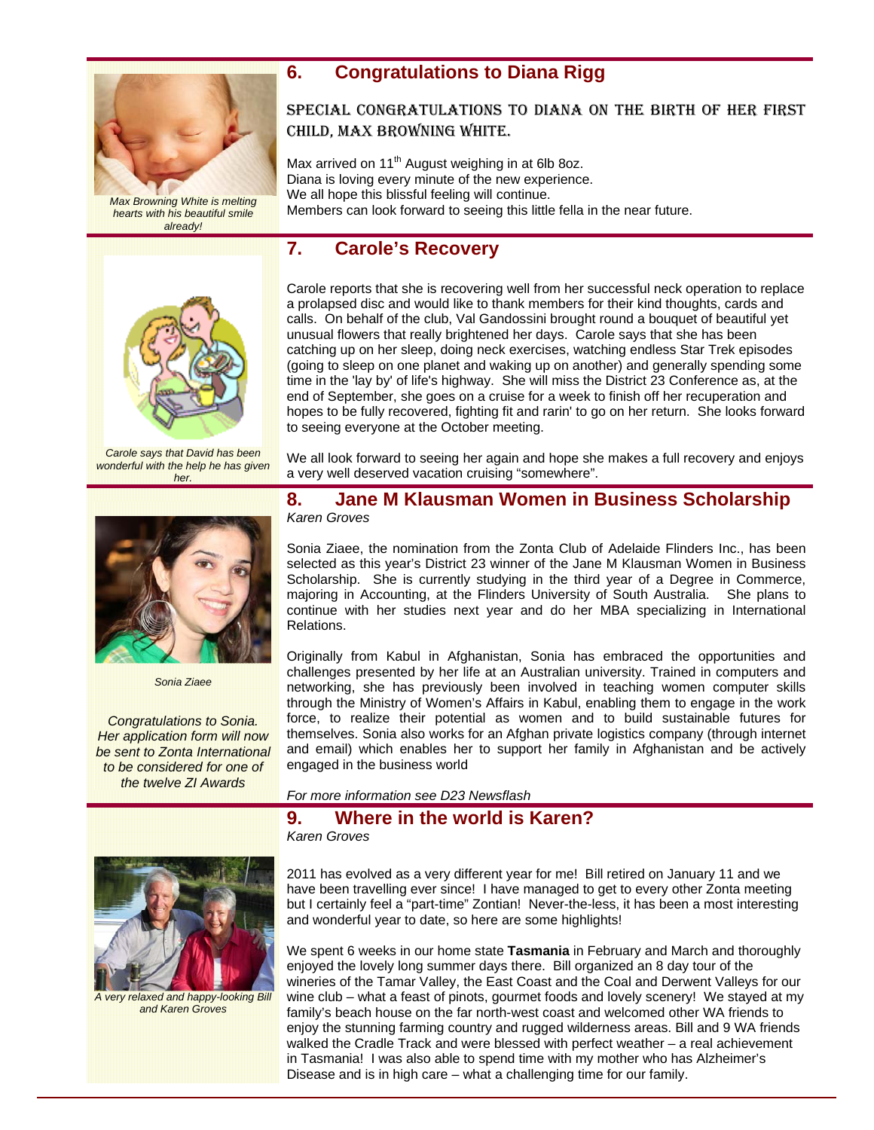

*Max Browning White is melting hearts with his beautiful smile already!* 

## **6. Congratulations to Diana Rigg**

## SPECIAL CONGRATULATIONS TO DIANA ON THE BIRTH OF HER FIRST CHILD, MAX BROWNING WHITE.

Max arrived on  $11<sup>th</sup>$  August weighing in at 6lb 8oz. Diana is loving every minute of the new experience. We all hope this blissful feeling will continue. Members can look forward to seeing this little fella in the near future.

## **7. Carole's Recovery**



*Carole says that David has been wonderful with the help he has given her.* 



*Sonia Ziaee* 

*Congratulations to Sonia. Her application form will now be sent to Zonta International to be considered for one of the twelve ZI Awards* 



*A very relaxed and happy-looking Bill and Karen Groves* 

Carole reports that she is recovering well from her successful neck operation to replace a prolapsed disc and would like to thank members for their kind thoughts, cards and calls. On behalf of the club, Val Gandossini brought round a bouquet of beautiful yet unusual flowers that really brightened her days. Carole says that she has been catching up on her sleep, doing neck exercises, watching endless Star Trek episodes (going to sleep on one planet and waking up on another) and generally spending some time in the 'lay by' of life's highway. She will miss the District 23 Conference as, at the end of September, she goes on a cruise for a week to finish off her recuperation and hopes to be fully recovered, fighting fit and rarin' to go on her return. She looks forward to seeing everyone at the October meeting.

We all look forward to seeing her again and hope she makes a full recovery and enjoys a very well deserved vacation cruising "somewhere".

#### **8. Jane M Klausman Women in Business Scholarship**  *Karen Groves*

Sonia Ziaee, the nomination from the Zonta Club of Adelaide Flinders Inc., has been selected as this year's District 23 winner of the Jane M Klausman Women in Business Scholarship. She is currently studying in the third year of a Degree in Commerce, majoring in Accounting, at the Flinders University of South Australia. She plans to continue with her studies next year and do her MBA specializing in International Relations.

Originally from Kabul in Afghanistan, Sonia has embraced the opportunities and challenges presented by her life at an Australian university. Trained in computers and networking, she has previously been involved in teaching women computer skills through the Ministry of Women's Affairs in Kabul, enabling them to engage in the work force, to realize their potential as women and to build sustainable futures for themselves. Sonia also works for an Afghan private logistics company (through internet and email) which enables her to support her family in Afghanistan and be actively engaged in the business world

*For more information see D23 Newsflash* 

## **9. Where in the world is Karen?**

*Karen Groves* 

2011 has evolved as a very different year for me! Bill retired on January 11 and we have been travelling ever since! I have managed to get to every other Zonta meeting but I certainly feel a "part-time" Zontian! Never-the-less, it has been a most interesting and wonderful year to date, so here are some highlights!

We spent 6 weeks in our home state **Tasmania** in February and March and thoroughly enjoyed the lovely long summer days there. Bill organized an 8 day tour of the wineries of the Tamar Valley, the East Coast and the Coal and Derwent Valleys for our wine club – what a feast of pinots, gourmet foods and lovely scenery! We stayed at my family's beach house on the far north-west coast and welcomed other WA friends to enjoy the stunning farming country and rugged wilderness areas. Bill and 9 WA friends walked the Cradle Track and were blessed with perfect weather – a real achievement in Tasmania! I was also able to spend time with my mother who has Alzheimer's Disease and is in high care – what a challenging time for our family.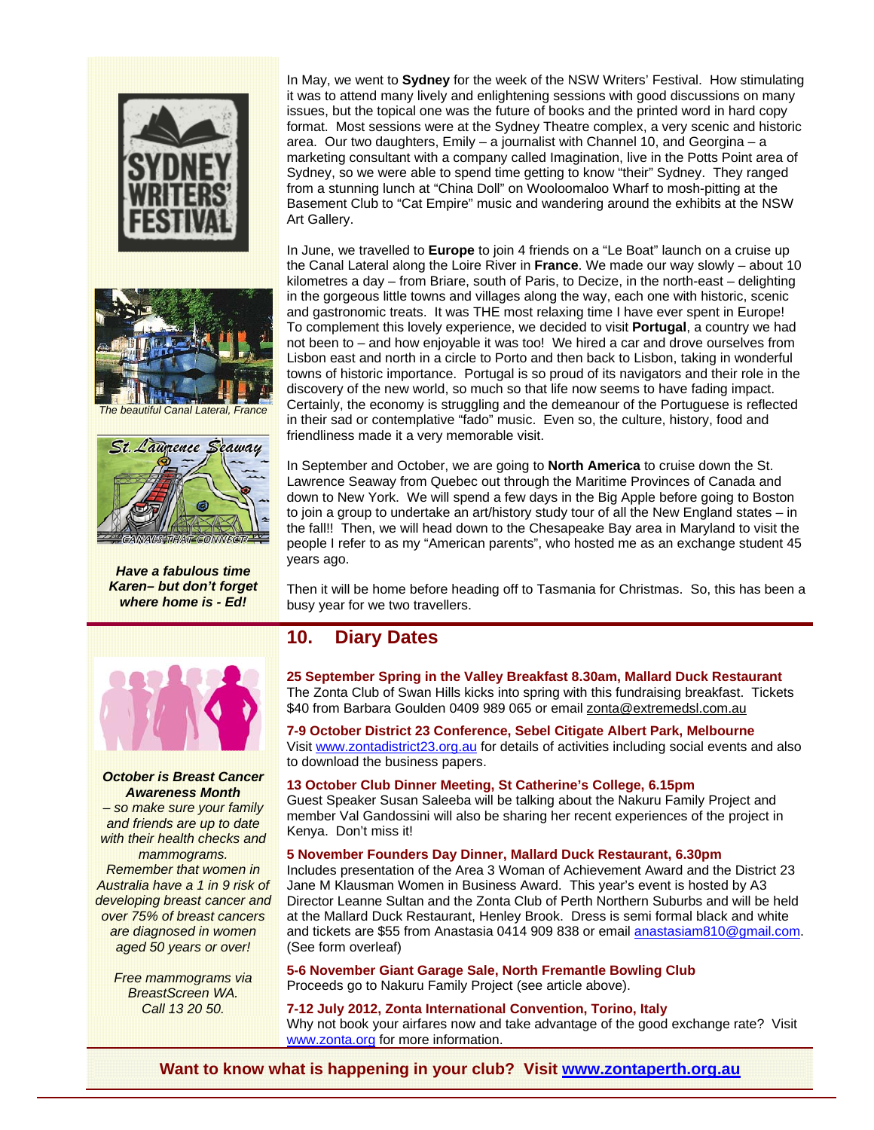



*Have a fabulous time Karen– but don't forget where home is - Ed!* 

In May, we went to **Sydney** for the week of the NSW Writers' Festival. How stimulating it was to attend many lively and enlightening sessions with good discussions on many issues, but the topical one was the future of books and the printed word in hard copy format. Most sessions were at the Sydney Theatre complex, a very scenic and historic area. Our two daughters, Emily – a journalist with Channel 10, and Georgina – a marketing consultant with a company called Imagination, live in the Potts Point area of Sydney, so we were able to spend time getting to know "their" Sydney. They ranged from a stunning lunch at "China Doll" on Wooloomaloo Wharf to mosh-pitting at the Basement Club to "Cat Empire" music and wandering around the exhibits at the NSW Art Gallery.

In June, we travelled to **Europe** to join 4 friends on a "Le Boat" launch on a cruise up the Canal Lateral along the Loire River in **France**. We made our way slowly – about 10 kilometres a day – from Briare, south of Paris, to Decize, in the north-east – delighting in the gorgeous little towns and villages along the way, each one with historic, scenic and gastronomic treats. It was THE most relaxing time I have ever spent in Europe! To complement this lovely experience, we decided to visit **Portugal**, a country we had not been to – and how enjoyable it was too! We hired a car and drove ourselves from Lisbon east and north in a circle to Porto and then back to Lisbon, taking in wonderful towns of historic importance. Portugal is so proud of its navigators and their role in the discovery of the new world, so much so that life now seems to have fading impact. Certainly, the economy is struggling and the demeanour of the Portuguese is reflected in their sad or contemplative "fado" music. Even so, the culture, history, food and friendliness made it a very memorable visit.

In September and October, we are going to **North America** to cruise down the St. Lawrence Seaway from Quebec out through the Maritime Provinces of Canada and down to New York. We will spend a few days in the Big Apple before going to Boston to join a group to undertake an art/history study tour of all the New England states – in the fall!! Then, we will head down to the Chesapeake Bay area in Maryland to visit the people I refer to as my "American parents", who hosted me as an exchange student 45 years ago.

Then it will be home before heading off to Tasmania for Christmas. So, this has been a busy year for we two travellers.

### **10. Diary Dates**

**25 September Spring in the Valley Breakfast 8.30am, Mallard Duck Restaurant**  The Zonta Club of Swan Hills kicks into spring with this fundraising breakfast. Tickets \$40 from Barbara Goulden 0409 989 065 or email zonta@extremedsl.com.au

**7-9 October District 23 Conference, Sebel Citigate Albert Park, Melbourne**  Visit www.zontadistrict23.org.au for details of activities including social events and also to download the business papers.

**13 October Club Dinner Meeting, St Catherine's College, 6.15pm**  Guest Speaker Susan Saleeba will be talking about the Nakuru Family Project and member Val Gandossini will also be sharing her recent experiences of the project in Kenya. Don't miss it!

#### **5 November Founders Day Dinner, Mallard Duck Restaurant, 6.30pm**

Includes presentation of the Area 3 Woman of Achievement Award and the District 23 Jane M Klausman Women in Business Award. This year's event is hosted by A3 Director Leanne Sultan and the Zonta Club of Perth Northern Suburbs and will be held at the Mallard Duck Restaurant, Henley Brook. Dress is semi formal black and white and tickets are \$55 from Anastasia 0414 909 838 or email anastasiam810@gmail.com. (See form overleaf)

**5-6 November Giant Garage Sale, North Fremantle Bowling Club**  Proceeds go to Nakuru Family Project (see article above).

**7-12 July 2012, Zonta International Convention, Torino, Italy**  Why not book your airfares now and take advantage of the good exchange rate? Visit www.zonta.org for more information.

**Want to know what is happening in your club? Visit www.zontaperth.org.au**



#### *October is Breast Cancer Awareness Month*

*– so make sure your family and friends are up to date with their health checks and* 

*mammograms. Remember that women in Australia have a 1 in 9 risk of developing breast cancer and over 75% of breast cancers are diagnosed in women aged 50 years or over!* 

*Free mammograms via BreastScreen WA. Call 13 20 50.*